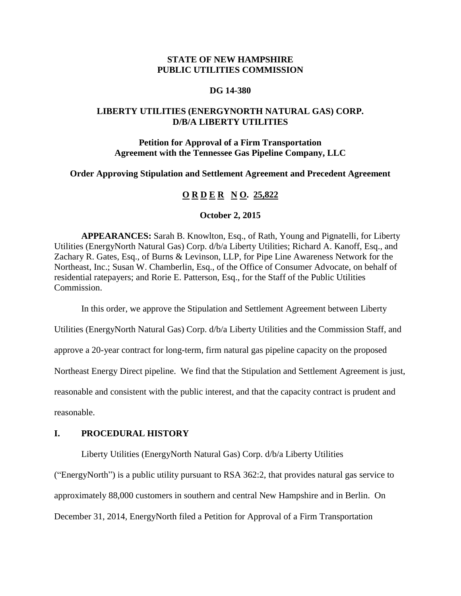# **STATE OF NEW HAMPSHIRE PUBLIC UTILITIES COMMISSION**

#### **DG 14-380**

# **LIBERTY UTILITIES (ENERGYNORTH NATURAL GAS) CORP. D/B/A LIBERTY UTILITIES**

# **Petition for Approval of a Firm Transportation Agreement with the Tennessee Gas Pipeline Company, LLC**

**Order Approving Stipulation and Settlement Agreement and Precedent Agreement**

# **O R D E R N O. 25,822**

#### **October 2, 2015**

**APPEARANCES:** Sarah B. Knowlton, Esq., of Rath, Young and Pignatelli, for Liberty Utilities (EnergyNorth Natural Gas) Corp. d/b/a Liberty Utilities; Richard A. Kanoff, Esq., and Zachary R. Gates, Esq., of Burns & Levinson, LLP, for Pipe Line Awareness Network for the Northeast, Inc.; Susan W. Chamberlin, Esq., of the Office of Consumer Advocate, on behalf of residential ratepayers; and Rorie E. Patterson, Esq., for the Staff of the Public Utilities Commission.

In this order, we approve the Stipulation and Settlement Agreement between Liberty

Utilities (EnergyNorth Natural Gas) Corp. d/b/a Liberty Utilities and the Commission Staff, and

approve a 20-year contract for long-term, firm natural gas pipeline capacity on the proposed

Northeast Energy Direct pipeline. We find that the Stipulation and Settlement Agreement is just,

reasonable and consistent with the public interest, and that the capacity contract is prudent and

reasonable.

#### **I. PROCEDURAL HISTORY**

Liberty Utilities (EnergyNorth Natural Gas) Corp. d/b/a Liberty Utilities

("EnergyNorth") is a public utility pursuant to RSA 362:2, that provides natural gas service to

approximately 88,000 customers in southern and central New Hampshire and in Berlin. On

December 31, 2014, EnergyNorth filed a Petition for Approval of a Firm Transportation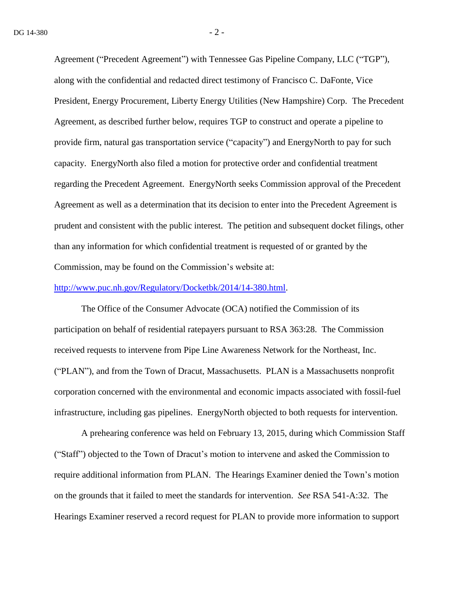Agreement ("Precedent Agreement") with Tennessee Gas Pipeline Company, LLC ("TGP"), along with the confidential and redacted direct testimony of Francisco C. DaFonte, Vice President, Energy Procurement, Liberty Energy Utilities (New Hampshire) Corp. The Precedent Agreement, as described further below, requires TGP to construct and operate a pipeline to provide firm, natural gas transportation service ("capacity") and EnergyNorth to pay for such capacity. EnergyNorth also filed a motion for protective order and confidential treatment regarding the Precedent Agreement. EnergyNorth seeks Commission approval of the Precedent Agreement as well as a determination that its decision to enter into the Precedent Agreement is prudent and consistent with the public interest. The petition and subsequent docket filings, other than any information for which confidential treatment is requested of or granted by the Commission, may be found on the Commission's website at:

### [http://www.puc.nh.gov/Regulatory/Docketbk/2014/14-380.html.](http://www.puc.nh.gov/Regulatory/Docketbk/2014/14-380.html)

The Office of the Consumer Advocate (OCA) notified the Commission of its participation on behalf of residential ratepayers pursuant to RSA 363:28. The Commission received requests to intervene from Pipe Line Awareness Network for the Northeast, Inc. ("PLAN"), and from the Town of Dracut, Massachusetts. PLAN is a Massachusetts nonprofit corporation concerned with the environmental and economic impacts associated with fossil-fuel infrastructure, including gas pipelines. EnergyNorth objected to both requests for intervention.

A prehearing conference was held on February 13, 2015, during which Commission Staff ("Staff") objected to the Town of Dracut's motion to intervene and asked the Commission to require additional information from PLAN. The Hearings Examiner denied the Town's motion on the grounds that it failed to meet the standards for intervention. *See* RSA 541-A:32. The Hearings Examiner reserved a record request for PLAN to provide more information to support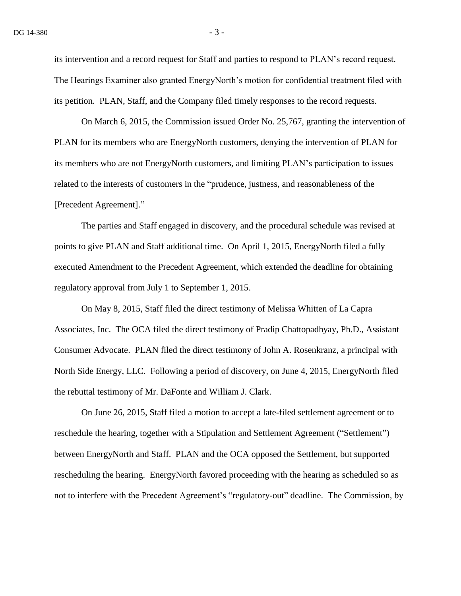its intervention and a record request for Staff and parties to respond to PLAN's record request. The Hearings Examiner also granted EnergyNorth's motion for confidential treatment filed with its petition. PLAN, Staff, and the Company filed timely responses to the record requests.

On March 6, 2015, the Commission issued Order No. 25,767, granting the intervention of PLAN for its members who are EnergyNorth customers, denying the intervention of PLAN for its members who are not EnergyNorth customers, and limiting PLAN's participation to issues related to the interests of customers in the "prudence, justness, and reasonableness of the [Precedent Agreement]."

The parties and Staff engaged in discovery, and the procedural schedule was revised at points to give PLAN and Staff additional time. On April 1, 2015, EnergyNorth filed a fully executed Amendment to the Precedent Agreement, which extended the deadline for obtaining regulatory approval from July 1 to September 1, 2015.

On May 8, 2015, Staff filed the direct testimony of Melissa Whitten of La Capra Associates, Inc. The OCA filed the direct testimony of Pradip Chattopadhyay, Ph.D., Assistant Consumer Advocate. PLAN filed the direct testimony of John A. Rosenkranz, a principal with North Side Energy, LLC. Following a period of discovery, on June 4, 2015, EnergyNorth filed the rebuttal testimony of Mr. DaFonte and William J. Clark.

On June 26, 2015, Staff filed a motion to accept a late-filed settlement agreement or to reschedule the hearing, together with a Stipulation and Settlement Agreement ("Settlement") between EnergyNorth and Staff. PLAN and the OCA opposed the Settlement, but supported rescheduling the hearing. EnergyNorth favored proceeding with the hearing as scheduled so as not to interfere with the Precedent Agreement's "regulatory-out" deadline. The Commission, by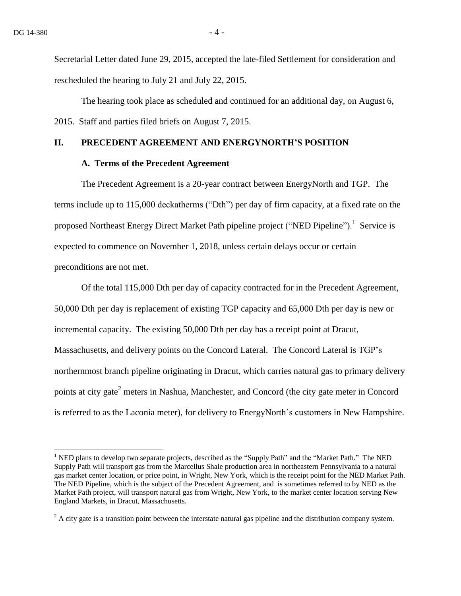$\overline{a}$ 

Secretarial Letter dated June 29, 2015, accepted the late-filed Settlement for consideration and rescheduled the hearing to July 21 and July 22, 2015.

The hearing took place as scheduled and continued for an additional day, on August 6, 2015. Staff and parties filed briefs on August 7, 2015.

### **II. PRECEDENT AGREEMENT AND ENERGYNORTH'S POSITION**

#### **A. Terms of the Precedent Agreement**

The Precedent Agreement is a 20-year contract between EnergyNorth and TGP. The terms include up to 115,000 deckatherms ("Dth") per day of firm capacity, at a fixed rate on the proposed Northeast Energy Direct Market Path pipeline project ("NED Pipeline").<sup>1</sup> Service is expected to commence on November 1, 2018, unless certain delays occur or certain preconditions are not met.

Of the total 115,000 Dth per day of capacity contracted for in the Precedent Agreement, 50,000 Dth per day is replacement of existing TGP capacity and 65,000 Dth per day is new or incremental capacity. The existing 50,000 Dth per day has a receipt point at Dracut, Massachusetts, and delivery points on the Concord Lateral. The Concord Lateral is TGP's northernmost branch pipeline originating in Dracut, which carries natural gas to primary delivery points at city gate<sup>2</sup> meters in Nashua, Manchester, and Concord (the city gate meter in Concord is referred to as the Laconia meter), for delivery to EnergyNorth's customers in New Hampshire.

<sup>&</sup>lt;sup>1</sup> NED plans to develop two separate projects, described as the "Supply Path" and the "Market Path." The NED Supply Path will transport gas from the Marcellus Shale production area in northeastern Pennsylvania to a natural gas market center location, or price point, in Wright, New York, which is the receipt point for the NED Market Path. The NED Pipeline, which is the subject of the Precedent Agreement, and is sometimes referred to by NED as the Market Path project, will transport natural gas from Wright, New York, to the market center location serving New England Markets, in Dracut, Massachusetts.

 $2 A$  city gate is a transition point between the interstate natural gas pipeline and the distribution company system.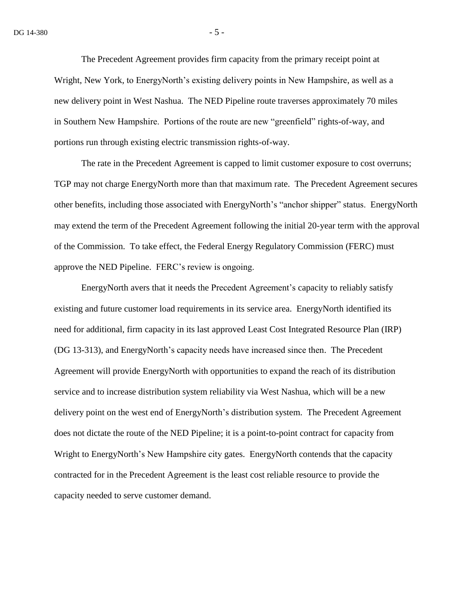The Precedent Agreement provides firm capacity from the primary receipt point at Wright, New York, to EnergyNorth's existing delivery points in New Hampshire, as well as a new delivery point in West Nashua. The NED Pipeline route traverses approximately 70 miles in Southern New Hampshire. Portions of the route are new "greenfield" rights-of-way, and portions run through existing electric transmission rights-of-way.

The rate in the Precedent Agreement is capped to limit customer exposure to cost overruns; TGP may not charge EnergyNorth more than that maximum rate. The Precedent Agreement secures other benefits, including those associated with EnergyNorth's "anchor shipper" status. EnergyNorth may extend the term of the Precedent Agreement following the initial 20-year term with the approval of the Commission. To take effect, the Federal Energy Regulatory Commission (FERC) must approve the NED Pipeline. FERC's review is ongoing.

EnergyNorth avers that it needs the Precedent Agreement's capacity to reliably satisfy existing and future customer load requirements in its service area. EnergyNorth identified its need for additional, firm capacity in its last approved Least Cost Integrated Resource Plan (IRP) (DG 13-313), and EnergyNorth's capacity needs have increased since then. The Precedent Agreement will provide EnergyNorth with opportunities to expand the reach of its distribution service and to increase distribution system reliability via West Nashua, which will be a new delivery point on the west end of EnergyNorth's distribution system. The Precedent Agreement does not dictate the route of the NED Pipeline; it is a point-to-point contract for capacity from Wright to EnergyNorth's New Hampshire city gates. EnergyNorth contends that the capacity contracted for in the Precedent Agreement is the least cost reliable resource to provide the capacity needed to serve customer demand.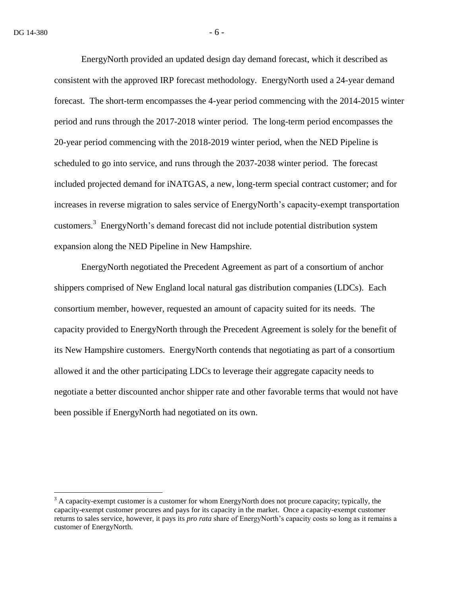$\overline{a}$ 

EnergyNorth provided an updated design day demand forecast, which it described as consistent with the approved IRP forecast methodology. EnergyNorth used a 24-year demand forecast. The short-term encompasses the 4-year period commencing with the 2014-2015 winter period and runs through the 2017-2018 winter period. The long-term period encompasses the 20-year period commencing with the 2018-2019 winter period, when the NED Pipeline is scheduled to go into service, and runs through the 2037-2038 winter period. The forecast included projected demand for iNATGAS, a new, long-term special contract customer; and for increases in reverse migration to sales service of EnergyNorth's capacity-exempt transportation customers.<sup>3</sup> EnergyNorth's demand forecast did not include potential distribution system expansion along the NED Pipeline in New Hampshire.

EnergyNorth negotiated the Precedent Agreement as part of a consortium of anchor shippers comprised of New England local natural gas distribution companies (LDCs). Each consortium member, however, requested an amount of capacity suited for its needs. The capacity provided to EnergyNorth through the Precedent Agreement is solely for the benefit of its New Hampshire customers. EnergyNorth contends that negotiating as part of a consortium allowed it and the other participating LDCs to leverage their aggregate capacity needs to negotiate a better discounted anchor shipper rate and other favorable terms that would not have been possible if EnergyNorth had negotiated on its own.

<sup>&</sup>lt;sup>3</sup> A capacity-exempt customer is a customer for whom EnergyNorth does not procure capacity; typically, the capacity-exempt customer procures and pays for its capacity in the market. Once a capacity-exempt customer returns to sales service, however, it pays its *pro rata* share of EnergyNorth's capacity costs so long as it remains a customer of EnergyNorth.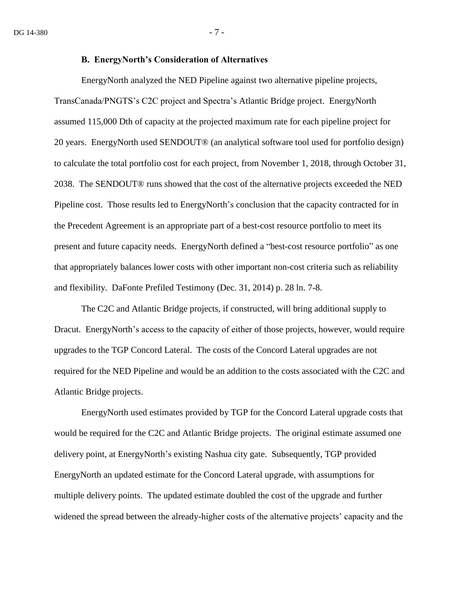#### **B. EnergyNorth's Consideration of Alternatives**

EnergyNorth analyzed the NED Pipeline against two alternative pipeline projects, TransCanada/PNGTS's C2C project and Spectra's Atlantic Bridge project. EnergyNorth assumed 115,000 Dth of capacity at the projected maximum rate for each pipeline project for 20 years. EnergyNorth used SENDOUT® (an analytical software tool used for portfolio design) to calculate the total portfolio cost for each project, from November 1, 2018, through October 31, 2038. The SENDOUT® runs showed that the cost of the alternative projects exceeded the NED Pipeline cost. Those results led to EnergyNorth's conclusion that the capacity contracted for in the Precedent Agreement is an appropriate part of a best-cost resource portfolio to meet its present and future capacity needs. EnergyNorth defined a "best-cost resource portfolio" as one that appropriately balances lower costs with other important non-cost criteria such as reliability and flexibility. DaFonte Prefiled Testimony (Dec. 31, 2014) p. 28 ln. 7-8.

The C2C and Atlantic Bridge projects, if constructed, will bring additional supply to Dracut. EnergyNorth's access to the capacity of either of those projects, however, would require upgrades to the TGP Concord Lateral. The costs of the Concord Lateral upgrades are not required for the NED Pipeline and would be an addition to the costs associated with the C2C and Atlantic Bridge projects.

EnergyNorth used estimates provided by TGP for the Concord Lateral upgrade costs that would be required for the C2C and Atlantic Bridge projects. The original estimate assumed one delivery point, at EnergyNorth's existing Nashua city gate. Subsequently, TGP provided EnergyNorth an updated estimate for the Concord Lateral upgrade, with assumptions for multiple delivery points. The updated estimate doubled the cost of the upgrade and further widened the spread between the already-higher costs of the alternative projects' capacity and the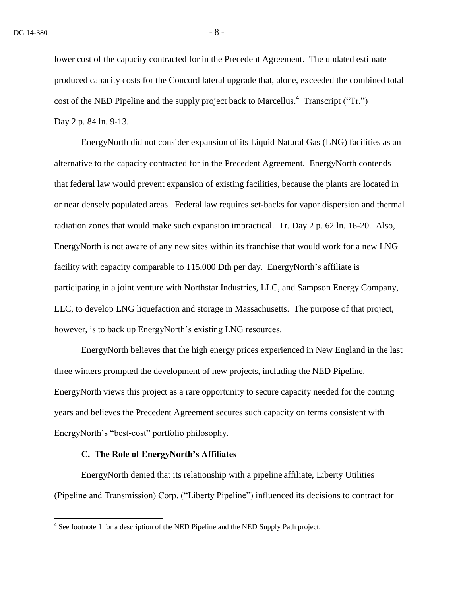lower cost of the capacity contracted for in the Precedent Agreement. The updated estimate produced capacity costs for the Concord lateral upgrade that, alone, exceeded the combined total cost of the NED Pipeline and the supply project back to Marcellus.<sup>4</sup> Transcript ("Tr.") Day 2 p. 84 ln. 9-13.

EnergyNorth did not consider expansion of its Liquid Natural Gas (LNG) facilities as an alternative to the capacity contracted for in the Precedent Agreement. EnergyNorth contends that federal law would prevent expansion of existing facilities, because the plants are located in or near densely populated areas. Federal law requires set-backs for vapor dispersion and thermal radiation zones that would make such expansion impractical. Tr. Day 2 p. 62 ln. 16-20. Also, EnergyNorth is not aware of any new sites within its franchise that would work for a new LNG facility with capacity comparable to 115,000 Dth per day. EnergyNorth's affiliate is participating in a joint venture with Northstar Industries, LLC, and Sampson Energy Company, LLC, to develop LNG liquefaction and storage in Massachusetts. The purpose of that project, however, is to back up EnergyNorth's existing LNG resources.

EnergyNorth believes that the high energy prices experienced in New England in the last three winters prompted the development of new projects, including the NED Pipeline. EnergyNorth views this project as a rare opportunity to secure capacity needed for the coming years and believes the Precedent Agreement secures such capacity on terms consistent with EnergyNorth's "best-cost" portfolio philosophy.

#### **C. The Role of EnergyNorth's Affiliates**

EnergyNorth denied that its relationship with a pipeline affiliate, Liberty Utilities (Pipeline and Transmission) Corp. ("Liberty Pipeline") influenced its decisions to contract for

<sup>&</sup>lt;sup>4</sup> See footnote 1 for a description of the NED Pipeline and the NED Supply Path project.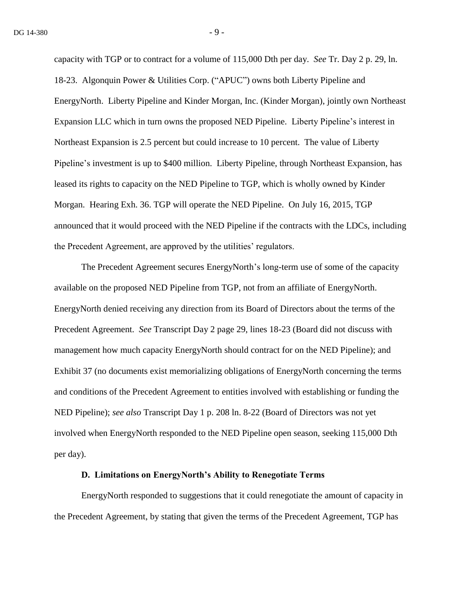capacity with TGP or to contract for a volume of 115,000 Dth per day. *See* Tr. Day 2 p. 29, ln. 18-23. Algonquin Power & Utilities Corp. ("APUC") owns both Liberty Pipeline and EnergyNorth. Liberty Pipeline and Kinder Morgan, Inc. (Kinder Morgan), jointly own Northeast Expansion LLC which in turn owns the proposed NED Pipeline. Liberty Pipeline's interest in Northeast Expansion is 2.5 percent but could increase to 10 percent. The value of Liberty Pipeline's investment is up to \$400 million. Liberty Pipeline, through Northeast Expansion, has leased its rights to capacity on the NED Pipeline to TGP, which is wholly owned by Kinder Morgan. Hearing Exh. 36. TGP will operate the NED Pipeline. On July 16, 2015, TGP announced that it would proceed with the NED Pipeline if the contracts with the LDCs, including the Precedent Agreement, are approved by the utilities' regulators.

The Precedent Agreement secures EnergyNorth's long-term use of some of the capacity available on the proposed NED Pipeline from TGP, not from an affiliate of EnergyNorth. EnergyNorth denied receiving any direction from its Board of Directors about the terms of the Precedent Agreement. *See* Transcript Day 2 page 29, lines 18-23 (Board did not discuss with management how much capacity EnergyNorth should contract for on the NED Pipeline); and Exhibit 37 (no documents exist memorializing obligations of EnergyNorth concerning the terms and conditions of the Precedent Agreement to entities involved with establishing or funding the NED Pipeline); *see also* Transcript Day 1 p. 208 ln. 8-22 (Board of Directors was not yet involved when EnergyNorth responded to the NED Pipeline open season, seeking 115,000 Dth per day).

### **D. Limitations on EnergyNorth's Ability to Renegotiate Terms**

EnergyNorth responded to suggestions that it could renegotiate the amount of capacity in the Precedent Agreement, by stating that given the terms of the Precedent Agreement, TGP has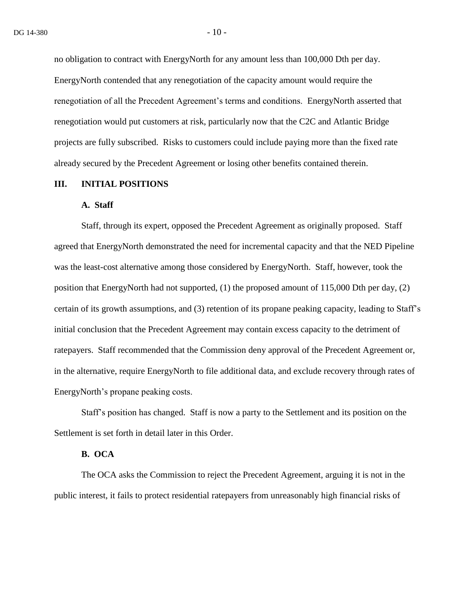no obligation to contract with EnergyNorth for any amount less than 100,000 Dth per day. EnergyNorth contended that any renegotiation of the capacity amount would require the renegotiation of all the Precedent Agreement's terms and conditions. EnergyNorth asserted that renegotiation would put customers at risk, particularly now that the C2C and Atlantic Bridge projects are fully subscribed. Risks to customers could include paying more than the fixed rate already secured by the Precedent Agreement or losing other benefits contained therein.

#### **III. INITIAL POSITIONS**

#### **A. Staff**

Staff, through its expert, opposed the Precedent Agreement as originally proposed. Staff agreed that EnergyNorth demonstrated the need for incremental capacity and that the NED Pipeline was the least-cost alternative among those considered by EnergyNorth. Staff, however, took the position that EnergyNorth had not supported, (1) the proposed amount of 115,000 Dth per day, (2) certain of its growth assumptions, and (3) retention of its propane peaking capacity, leading to Staff's initial conclusion that the Precedent Agreement may contain excess capacity to the detriment of ratepayers. Staff recommended that the Commission deny approval of the Precedent Agreement or, in the alternative, require EnergyNorth to file additional data, and exclude recovery through rates of EnergyNorth's propane peaking costs.

Staff's position has changed. Staff is now a party to the Settlement and its position on the Settlement is set forth in detail later in this Order.

### **B. OCA**

The OCA asks the Commission to reject the Precedent Agreement, arguing it is not in the public interest, it fails to protect residential ratepayers from unreasonably high financial risks of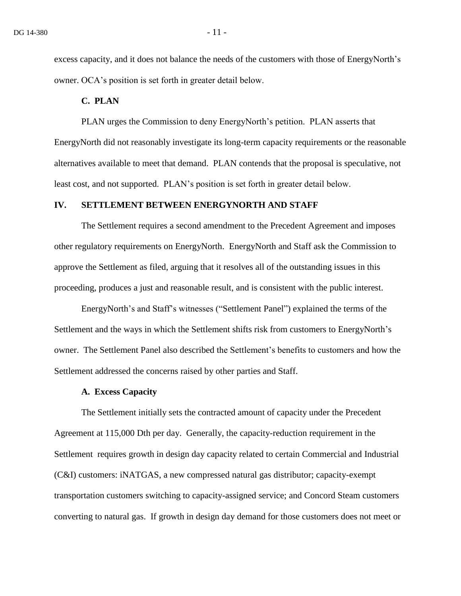excess capacity, and it does not balance the needs of the customers with those of EnergyNorth's owner. OCA's position is set forth in greater detail below.

### **C. PLAN**

PLAN urges the Commission to deny EnergyNorth's petition. PLAN asserts that EnergyNorth did not reasonably investigate its long-term capacity requirements or the reasonable alternatives available to meet that demand. PLAN contends that the proposal is speculative, not least cost, and not supported. PLAN's position is set forth in greater detail below.

#### **IV. SETTLEMENT BETWEEN ENERGYNORTH AND STAFF**

The Settlement requires a second amendment to the Precedent Agreement and imposes other regulatory requirements on EnergyNorth. EnergyNorth and Staff ask the Commission to approve the Settlement as filed, arguing that it resolves all of the outstanding issues in this proceeding, produces a just and reasonable result, and is consistent with the public interest.

EnergyNorth's and Staff's witnesses ("Settlement Panel") explained the terms of the Settlement and the ways in which the Settlement shifts risk from customers to EnergyNorth's owner. The Settlement Panel also described the Settlement's benefits to customers and how the Settlement addressed the concerns raised by other parties and Staff.

#### **A. Excess Capacity**

The Settlement initially sets the contracted amount of capacity under the Precedent Agreement at 115,000 Dth per day. Generally, the capacity-reduction requirement in the Settlement requires growth in design day capacity related to certain Commercial and Industrial (C&I) customers: iNATGAS, a new compressed natural gas distributor; capacity-exempt transportation customers switching to capacity-assigned service; and Concord Steam customers converting to natural gas. If growth in design day demand for those customers does not meet or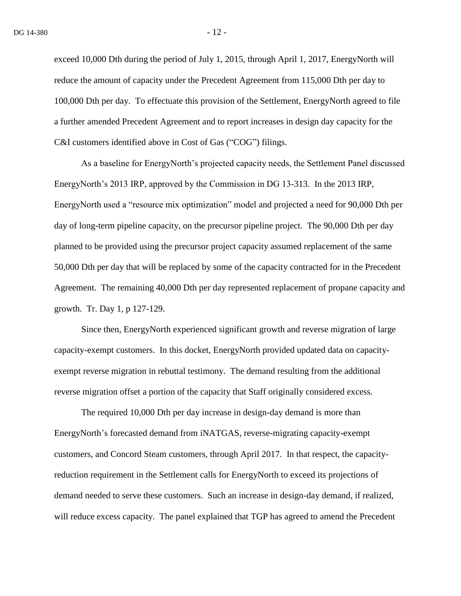exceed 10,000 Dth during the period of July 1, 2015, through April 1, 2017, EnergyNorth will reduce the amount of capacity under the Precedent Agreement from 115,000 Dth per day to 100,000 Dth per day. To effectuate this provision of the Settlement, EnergyNorth agreed to file a further amended Precedent Agreement and to report increases in design day capacity for the C&I customers identified above in Cost of Gas ("COG") filings.

As a baseline for EnergyNorth's projected capacity needs, the Settlement Panel discussed EnergyNorth's 2013 IRP, approved by the Commission in DG 13-313. In the 2013 IRP, EnergyNorth used a "resource mix optimization" model and projected a need for 90,000 Dth per day of long-term pipeline capacity, on the precursor pipeline project. The 90,000 Dth per day planned to be provided using the precursor project capacity assumed replacement of the same 50,000 Dth per day that will be replaced by some of the capacity contracted for in the Precedent Agreement. The remaining 40,000 Dth per day represented replacement of propane capacity and growth. Tr. Day 1, p 127-129.

Since then, EnergyNorth experienced significant growth and reverse migration of large capacity-exempt customers. In this docket, EnergyNorth provided updated data on capacityexempt reverse migration in rebuttal testimony. The demand resulting from the additional reverse migration offset a portion of the capacity that Staff originally considered excess.

The required 10,000 Dth per day increase in design-day demand is more than EnergyNorth's forecasted demand from iNATGAS, reverse-migrating capacity-exempt customers, and Concord Steam customers, through April 2017. In that respect, the capacityreduction requirement in the Settlement calls for EnergyNorth to exceed its projections of demand needed to serve these customers. Such an increase in design-day demand, if realized, will reduce excess capacity. The panel explained that TGP has agreed to amend the Precedent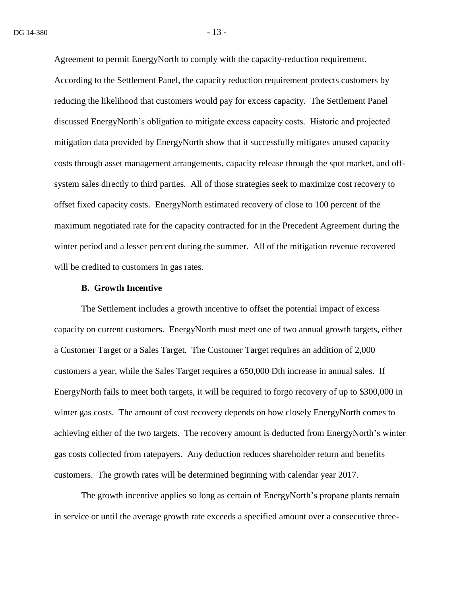Agreement to permit EnergyNorth to comply with the capacity-reduction requirement.

According to the Settlement Panel, the capacity reduction requirement protects customers by reducing the likelihood that customers would pay for excess capacity. The Settlement Panel discussed EnergyNorth's obligation to mitigate excess capacity costs. Historic and projected mitigation data provided by EnergyNorth show that it successfully mitigates unused capacity costs through asset management arrangements, capacity release through the spot market, and offsystem sales directly to third parties. All of those strategies seek to maximize cost recovery to offset fixed capacity costs. EnergyNorth estimated recovery of close to 100 percent of the maximum negotiated rate for the capacity contracted for in the Precedent Agreement during the winter period and a lesser percent during the summer. All of the mitigation revenue recovered will be credited to customers in gas rates.

#### **B. Growth Incentive**

The Settlement includes a growth incentive to offset the potential impact of excess capacity on current customers. EnergyNorth must meet one of two annual growth targets, either a Customer Target or a Sales Target. The Customer Target requires an addition of 2,000 customers a year, while the Sales Target requires a 650,000 Dth increase in annual sales. If EnergyNorth fails to meet both targets, it will be required to forgo recovery of up to \$300,000 in winter gas costs. The amount of cost recovery depends on how closely EnergyNorth comes to achieving either of the two targets. The recovery amount is deducted from EnergyNorth's winter gas costs collected from ratepayers. Any deduction reduces shareholder return and benefits customers. The growth rates will be determined beginning with calendar year 2017.

The growth incentive applies so long as certain of EnergyNorth's propane plants remain in service or until the average growth rate exceeds a specified amount over a consecutive three-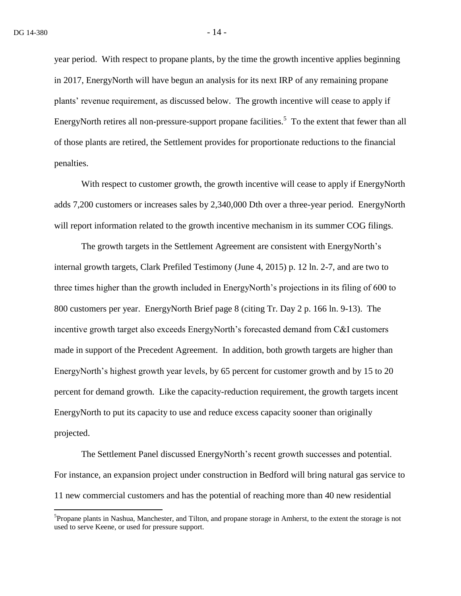$\overline{a}$ 

year period. With respect to propane plants, by the time the growth incentive applies beginning in 2017, EnergyNorth will have begun an analysis for its next IRP of any remaining propane plants' revenue requirement, as discussed below. The growth incentive will cease to apply if EnergyNorth retires all non-pressure-support propane facilities.<sup>5</sup> To the extent that fewer than all of those plants are retired, the Settlement provides for proportionate reductions to the financial penalties.

With respect to customer growth, the growth incentive will cease to apply if EnergyNorth adds 7,200 customers or increases sales by 2,340,000 Dth over a three-year period. EnergyNorth will report information related to the growth incentive mechanism in its summer COG filings.

The growth targets in the Settlement Agreement are consistent with EnergyNorth's internal growth targets, Clark Prefiled Testimony (June 4, 2015) p. 12 ln. 2-7, and are two to three times higher than the growth included in EnergyNorth's projections in its filing of 600 to 800 customers per year. EnergyNorth Brief page 8 (citing Tr. Day 2 p. 166 ln. 9-13). The incentive growth target also exceeds EnergyNorth's forecasted demand from C&I customers made in support of the Precedent Agreement. In addition, both growth targets are higher than EnergyNorth's highest growth year levels, by 65 percent for customer growth and by 15 to 20 percent for demand growth. Like the capacity-reduction requirement, the growth targets incent EnergyNorth to put its capacity to use and reduce excess capacity sooner than originally projected.

The Settlement Panel discussed EnergyNorth's recent growth successes and potential. For instance, an expansion project under construction in Bedford will bring natural gas service to 11 new commercial customers and has the potential of reaching more than 40 new residential

<sup>&</sup>lt;sup>5</sup>Propane plants in Nashua, Manchester, and Tilton, and propane storage in Amherst, to the extent the storage is not used to serve Keene, or used for pressure support.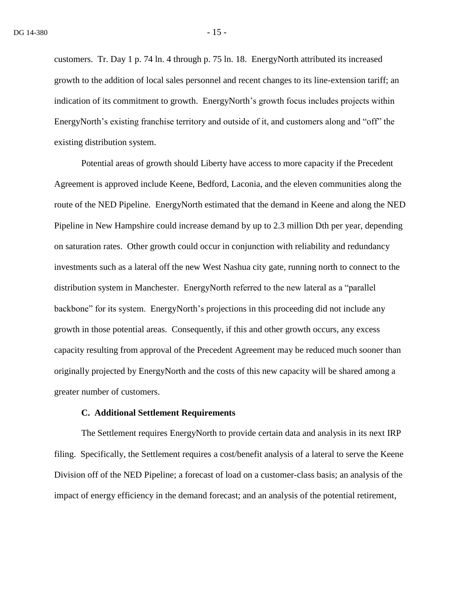customers. Tr. Day 1 p. 74 ln. 4 through p. 75 ln. 18. EnergyNorth attributed its increased growth to the addition of local sales personnel and recent changes to its line-extension tariff; an indication of its commitment to growth. EnergyNorth's growth focus includes projects within EnergyNorth's existing franchise territory and outside of it, and customers along and "off" the existing distribution system.

Potential areas of growth should Liberty have access to more capacity if the Precedent Agreement is approved include Keene, Bedford, Laconia, and the eleven communities along the route of the NED Pipeline. EnergyNorth estimated that the demand in Keene and along the NED Pipeline in New Hampshire could increase demand by up to 2.3 million Dth per year, depending on saturation rates. Other growth could occur in conjunction with reliability and redundancy investments such as a lateral off the new West Nashua city gate, running north to connect to the distribution system in Manchester. EnergyNorth referred to the new lateral as a "parallel backbone" for its system. EnergyNorth's projections in this proceeding did not include any growth in those potential areas. Consequently, if this and other growth occurs, any excess capacity resulting from approval of the Precedent Agreement may be reduced much sooner than originally projected by EnergyNorth and the costs of this new capacity will be shared among a greater number of customers.

#### **C. Additional Settlement Requirements**

The Settlement requires EnergyNorth to provide certain data and analysis in its next IRP filing. Specifically, the Settlement requires a cost/benefit analysis of a lateral to serve the Keene Division off of the NED Pipeline; a forecast of load on a customer-class basis; an analysis of the impact of energy efficiency in the demand forecast; and an analysis of the potential retirement,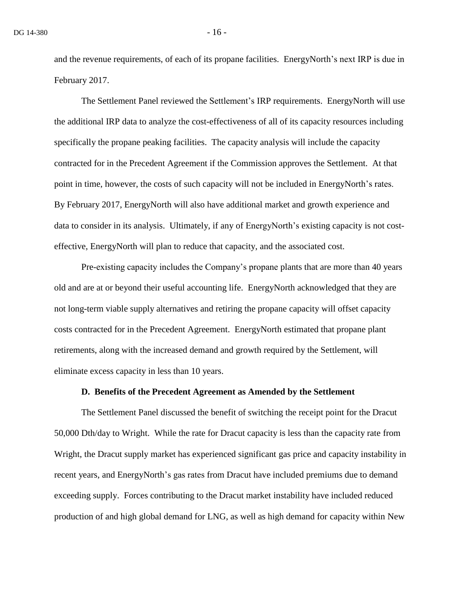and the revenue requirements, of each of its propane facilities. EnergyNorth's next IRP is due in February 2017.

The Settlement Panel reviewed the Settlement's IRP requirements. EnergyNorth will use the additional IRP data to analyze the cost-effectiveness of all of its capacity resources including specifically the propane peaking facilities. The capacity analysis will include the capacity contracted for in the Precedent Agreement if the Commission approves the Settlement. At that point in time, however, the costs of such capacity will not be included in EnergyNorth's rates. By February 2017, EnergyNorth will also have additional market and growth experience and data to consider in its analysis. Ultimately, if any of EnergyNorth's existing capacity is not costeffective, EnergyNorth will plan to reduce that capacity, and the associated cost.

Pre-existing capacity includes the Company's propane plants that are more than 40 years old and are at or beyond their useful accounting life. EnergyNorth acknowledged that they are not long-term viable supply alternatives and retiring the propane capacity will offset capacity costs contracted for in the Precedent Agreement. EnergyNorth estimated that propane plant retirements, along with the increased demand and growth required by the Settlement, will eliminate excess capacity in less than 10 years.

#### **D. Benefits of the Precedent Agreement as Amended by the Settlement**

The Settlement Panel discussed the benefit of switching the receipt point for the Dracut 50,000 Dth/day to Wright. While the rate for Dracut capacity is less than the capacity rate from Wright, the Dracut supply market has experienced significant gas price and capacity instability in recent years, and EnergyNorth's gas rates from Dracut have included premiums due to demand exceeding supply. Forces contributing to the Dracut market instability have included reduced production of and high global demand for LNG, as well as high demand for capacity within New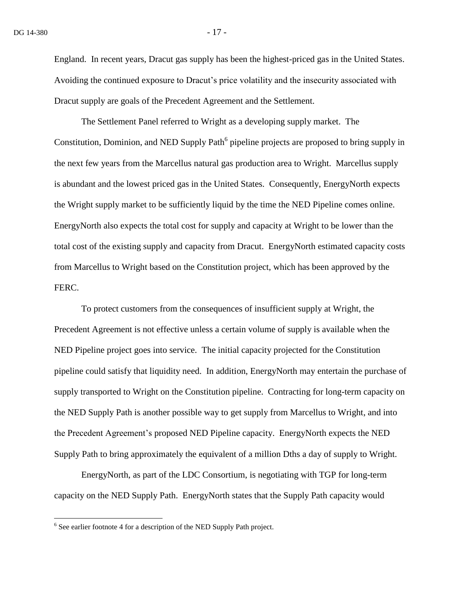England. In recent years, Dracut gas supply has been the highest-priced gas in the United States. Avoiding the continued exposure to Dracut's price volatility and the insecurity associated with Dracut supply are goals of the Precedent Agreement and the Settlement.

The Settlement Panel referred to Wright as a developing supply market. The Constitution, Dominion, and NED Supply Path<sup>6</sup> pipeline projects are proposed to bring supply in the next few years from the Marcellus natural gas production area to Wright. Marcellus supply is abundant and the lowest priced gas in the United States. Consequently, EnergyNorth expects the Wright supply market to be sufficiently liquid by the time the NED Pipeline comes online. EnergyNorth also expects the total cost for supply and capacity at Wright to be lower than the total cost of the existing supply and capacity from Dracut. EnergyNorth estimated capacity costs from Marcellus to Wright based on the Constitution project, which has been approved by the FERC.

To protect customers from the consequences of insufficient supply at Wright, the Precedent Agreement is not effective unless a certain volume of supply is available when the NED Pipeline project goes into service. The initial capacity projected for the Constitution pipeline could satisfy that liquidity need. In addition, EnergyNorth may entertain the purchase of supply transported to Wright on the Constitution pipeline. Contracting for long-term capacity on the NED Supply Path is another possible way to get supply from Marcellus to Wright, and into the Precedent Agreement's proposed NED Pipeline capacity. EnergyNorth expects the NED Supply Path to bring approximately the equivalent of a million Dths a day of supply to Wright.

EnergyNorth, as part of the LDC Consortium, is negotiating with TGP for long-term capacity on the NED Supply Path. EnergyNorth states that the Supply Path capacity would

 6 See earlier footnote 4 for a description of the NED Supply Path project.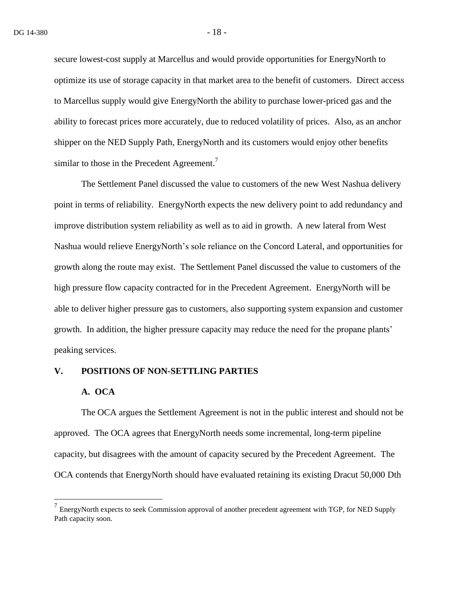secure lowest-cost supply at Marcellus and would provide opportunities for EnergyNorth to optimize its use of storage capacity in that market area to the benefit of customers. Direct access to Marcellus supply would give EnergyNorth the ability to purchase lower-priced gas and the ability to forecast prices more accurately, due to reduced volatility of prices. Also, as an anchor shipper on the NED Supply Path, EnergyNorth and its customers would enjoy other benefits similar to those in the Precedent Agreement.<sup>7</sup>

The Settlement Panel discussed the value to customers of the new West Nashua delivery point in terms of reliability. EnergyNorth expects the new delivery point to add redundancy and improve distribution system reliability as well as to aid in growth. A new lateral from West Nashua would relieve EnergyNorth's sole reliance on the Concord Lateral, and opportunities for growth along the route may exist. The Settlement Panel discussed the value to customers of the high pressure flow capacity contracted for in the Precedent Agreement. EnergyNorth will be able to deliver higher pressure gas to customers, also supporting system expansion and customer growth. In addition, the higher pressure capacity may reduce the need for the propane plants' peaking services.

#### **V. POSITIONS OF NON-SETTLING PARTIES**

#### **A. OCA**

 $\overline{a}$ 

The OCA argues the Settlement Agreement is not in the public interest and should not be approved. The OCA agrees that EnergyNorth needs some incremental, long-term pipeline capacity, but disagrees with the amount of capacity secured by the Precedent Agreement. The OCA contends that EnergyNorth should have evaluated retaining its existing Dracut 50,000 Dth

 $<sup>7</sup>$  EnergyNorth expects to seek Commission approval of another precedent agreement with TGP, for NED Supply</sup> Path capacity soon.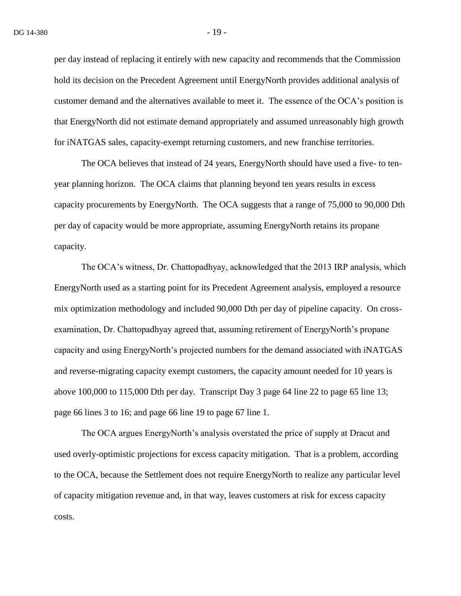per day instead of replacing it entirely with new capacity and recommends that the Commission hold its decision on the Precedent Agreement until EnergyNorth provides additional analysis of customer demand and the alternatives available to meet it. The essence of the OCA's position is that EnergyNorth did not estimate demand appropriately and assumed unreasonably high growth for iNATGAS sales, capacity-exempt returning customers, and new franchise territories.

The OCA believes that instead of 24 years, EnergyNorth should have used a five- to tenyear planning horizon. The OCA claims that planning beyond ten years results in excess capacity procurements by EnergyNorth. The OCA suggests that a range of 75,000 to 90,000 Dth per day of capacity would be more appropriate, assuming EnergyNorth retains its propane capacity.

The OCA's witness, Dr. Chattopadhyay, acknowledged that the 2013 IRP analysis, which EnergyNorth used as a starting point for its Precedent Agreement analysis, employed a resource mix optimization methodology and included 90,000 Dth per day of pipeline capacity. On crossexamination, Dr. Chattopadhyay agreed that, assuming retirement of EnergyNorth's propane capacity and using EnergyNorth's projected numbers for the demand associated with iNATGAS and reverse-migrating capacity exempt customers, the capacity amount needed for 10 years is above 100,000 to 115,000 Dth per day. Transcript Day 3 page 64 line 22 to page 65 line 13; page 66 lines 3 to 16; and page 66 line 19 to page 67 line 1.

The OCA argues EnergyNorth's analysis overstated the price of supply at Dracut and used overly-optimistic projections for excess capacity mitigation. That is a problem, according to the OCA, because the Settlement does not require EnergyNorth to realize any particular level of capacity mitigation revenue and, in that way, leaves customers at risk for excess capacity costs.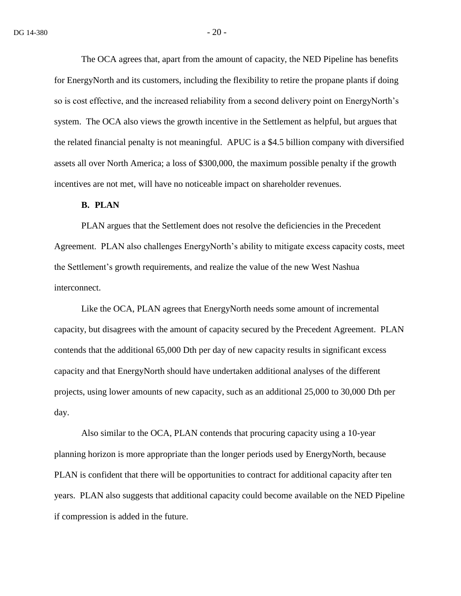The OCA agrees that, apart from the amount of capacity, the NED Pipeline has benefits for EnergyNorth and its customers, including the flexibility to retire the propane plants if doing so is cost effective, and the increased reliability from a second delivery point on EnergyNorth's system. The OCA also views the growth incentive in the Settlement as helpful, but argues that the related financial penalty is not meaningful. APUC is a \$4.5 billion company with diversified assets all over North America; a loss of \$300,000, the maximum possible penalty if the growth incentives are not met, will have no noticeable impact on shareholder revenues.

#### **B. PLAN**

PLAN argues that the Settlement does not resolve the deficiencies in the Precedent Agreement. PLAN also challenges EnergyNorth's ability to mitigate excess capacity costs, meet the Settlement's growth requirements, and realize the value of the new West Nashua interconnect.

Like the OCA, PLAN agrees that EnergyNorth needs some amount of incremental capacity, but disagrees with the amount of capacity secured by the Precedent Agreement. PLAN contends that the additional 65,000 Dth per day of new capacity results in significant excess capacity and that EnergyNorth should have undertaken additional analyses of the different projects, using lower amounts of new capacity, such as an additional 25,000 to 30,000 Dth per day.

Also similar to the OCA, PLAN contends that procuring capacity using a 10-year planning horizon is more appropriate than the longer periods used by EnergyNorth, because PLAN is confident that there will be opportunities to contract for additional capacity after ten years. PLAN also suggests that additional capacity could become available on the NED Pipeline if compression is added in the future.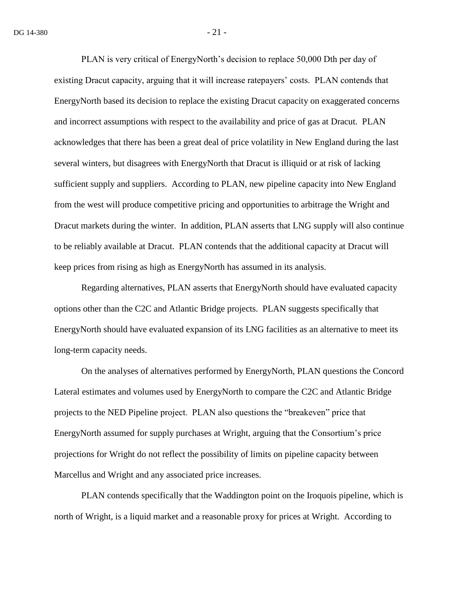PLAN is very critical of EnergyNorth's decision to replace 50,000 Dth per day of existing Dracut capacity, arguing that it will increase ratepayers' costs. PLAN contends that EnergyNorth based its decision to replace the existing Dracut capacity on exaggerated concerns and incorrect assumptions with respect to the availability and price of gas at Dracut. PLAN acknowledges that there has been a great deal of price volatility in New England during the last several winters, but disagrees with EnergyNorth that Dracut is illiquid or at risk of lacking sufficient supply and suppliers. According to PLAN, new pipeline capacity into New England from the west will produce competitive pricing and opportunities to arbitrage the Wright and Dracut markets during the winter. In addition, PLAN asserts that LNG supply will also continue to be reliably available at Dracut. PLAN contends that the additional capacity at Dracut will keep prices from rising as high as EnergyNorth has assumed in its analysis.

Regarding alternatives, PLAN asserts that EnergyNorth should have evaluated capacity options other than the C2C and Atlantic Bridge projects. PLAN suggests specifically that EnergyNorth should have evaluated expansion of its LNG facilities as an alternative to meet its long-term capacity needs.

On the analyses of alternatives performed by EnergyNorth, PLAN questions the Concord Lateral estimates and volumes used by EnergyNorth to compare the C2C and Atlantic Bridge projects to the NED Pipeline project. PLAN also questions the "breakeven" price that EnergyNorth assumed for supply purchases at Wright, arguing that the Consortium's price projections for Wright do not reflect the possibility of limits on pipeline capacity between Marcellus and Wright and any associated price increases.

PLAN contends specifically that the Waddington point on the Iroquois pipeline, which is north of Wright, is a liquid market and a reasonable proxy for prices at Wright. According to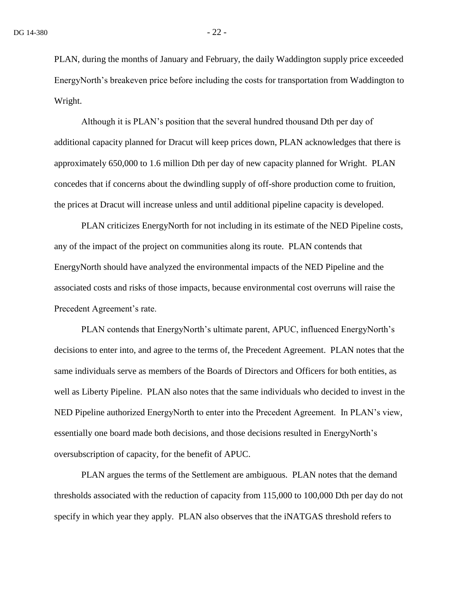PLAN, during the months of January and February, the daily Waddington supply price exceeded EnergyNorth's breakeven price before including the costs for transportation from Waddington to Wright.

Although it is PLAN's position that the several hundred thousand Dth per day of additional capacity planned for Dracut will keep prices down, PLAN acknowledges that there is approximately 650,000 to 1.6 million Dth per day of new capacity planned for Wright. PLAN concedes that if concerns about the dwindling supply of off-shore production come to fruition, the prices at Dracut will increase unless and until additional pipeline capacity is developed.

PLAN criticizes EnergyNorth for not including in its estimate of the NED Pipeline costs, any of the impact of the project on communities along its route. PLAN contends that EnergyNorth should have analyzed the environmental impacts of the NED Pipeline and the associated costs and risks of those impacts, because environmental cost overruns will raise the Precedent Agreement's rate.

PLAN contends that EnergyNorth's ultimate parent, APUC, influenced EnergyNorth's decisions to enter into, and agree to the terms of, the Precedent Agreement. PLAN notes that the same individuals serve as members of the Boards of Directors and Officers for both entities, as well as Liberty Pipeline. PLAN also notes that the same individuals who decided to invest in the NED Pipeline authorized EnergyNorth to enter into the Precedent Agreement. In PLAN's view, essentially one board made both decisions, and those decisions resulted in EnergyNorth's oversubscription of capacity, for the benefit of APUC.

PLAN argues the terms of the Settlement are ambiguous. PLAN notes that the demand thresholds associated with the reduction of capacity from 115,000 to 100,000 Dth per day do not specify in which year they apply. PLAN also observes that the iNATGAS threshold refers to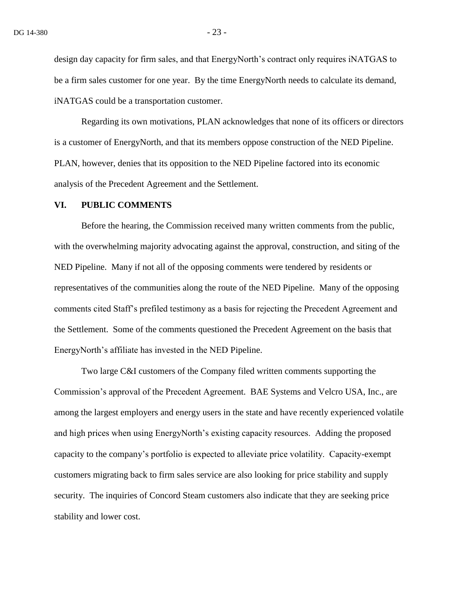design day capacity for firm sales, and that EnergyNorth's contract only requires iNATGAS to be a firm sales customer for one year. By the time EnergyNorth needs to calculate its demand, iNATGAS could be a transportation customer.

Regarding its own motivations, PLAN acknowledges that none of its officers or directors is a customer of EnergyNorth, and that its members oppose construction of the NED Pipeline. PLAN, however, denies that its opposition to the NED Pipeline factored into its economic analysis of the Precedent Agreement and the Settlement.

#### **VI. PUBLIC COMMENTS**

Before the hearing, the Commission received many written comments from the public, with the overwhelming majority advocating against the approval, construction, and siting of the NED Pipeline. Many if not all of the opposing comments were tendered by residents or representatives of the communities along the route of the NED Pipeline. Many of the opposing comments cited Staff's prefiled testimony as a basis for rejecting the Precedent Agreement and the Settlement. Some of the comments questioned the Precedent Agreement on the basis that EnergyNorth's affiliate has invested in the NED Pipeline.

Two large C&I customers of the Company filed written comments supporting the Commission's approval of the Precedent Agreement. BAE Systems and Velcro USA, Inc., are among the largest employers and energy users in the state and have recently experienced volatile and high prices when using EnergyNorth's existing capacity resources. Adding the proposed capacity to the company's portfolio is expected to alleviate price volatility. Capacity-exempt customers migrating back to firm sales service are also looking for price stability and supply security. The inquiries of Concord Steam customers also indicate that they are seeking price stability and lower cost.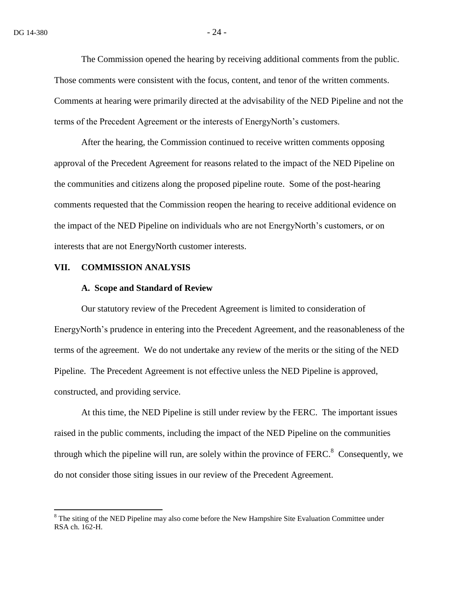The Commission opened the hearing by receiving additional comments from the public. Those comments were consistent with the focus, content, and tenor of the written comments. Comments at hearing were primarily directed at the advisability of the NED Pipeline and not the terms of the Precedent Agreement or the interests of EnergyNorth's customers.

After the hearing, the Commission continued to receive written comments opposing approval of the Precedent Agreement for reasons related to the impact of the NED Pipeline on the communities and citizens along the proposed pipeline route. Some of the post-hearing comments requested that the Commission reopen the hearing to receive additional evidence on the impact of the NED Pipeline on individuals who are not EnergyNorth's customers, or on interests that are not EnergyNorth customer interests.

#### **VII. COMMISSION ANALYSIS**

 $\overline{a}$ 

#### **A. Scope and Standard of Review**

Our statutory review of the Precedent Agreement is limited to consideration of EnergyNorth's prudence in entering into the Precedent Agreement, and the reasonableness of the terms of the agreement. We do not undertake any review of the merits or the siting of the NED Pipeline. The Precedent Agreement is not effective unless the NED Pipeline is approved, constructed, and providing service.

At this time, the NED Pipeline is still under review by the FERC. The important issues raised in the public comments, including the impact of the NED Pipeline on the communities through which the pipeline will run, are solely within the province of  $FERC<sup>8</sup>$  Consequently, we do not consider those siting issues in our review of the Precedent Agreement.

 $8$  The siting of the NED Pipeline may also come before the New Hampshire Site Evaluation Committee under RSA ch. 162-H.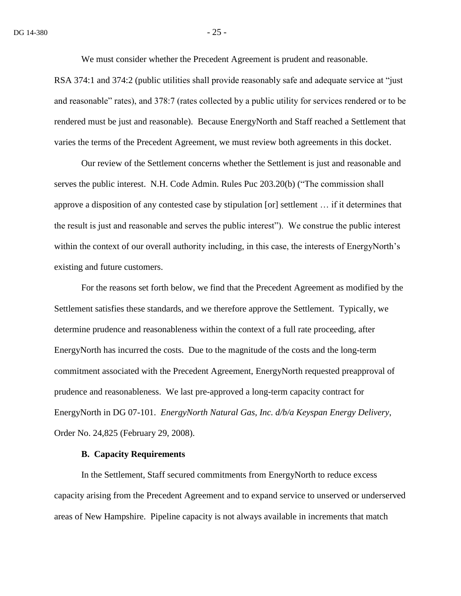We must consider whether the Precedent Agreement is prudent and reasonable.

RSA 374:1 and 374:2 (public utilities shall provide reasonably safe and adequate service at "just and reasonable" rates), and 378:7 (rates collected by a public utility for services rendered or to be rendered must be just and reasonable). Because EnergyNorth and Staff reached a Settlement that varies the terms of the Precedent Agreement, we must review both agreements in this docket.

Our review of the Settlement concerns whether the Settlement is just and reasonable and serves the public interest. N.H. Code Admin. Rules Puc 203.20(b) ("The commission shall approve a disposition of any contested case by stipulation [or] settlement … if it determines that the result is just and reasonable and serves the public interest"). We construe the public interest within the context of our overall authority including, in this case, the interests of EnergyNorth's existing and future customers.

For the reasons set forth below, we find that the Precedent Agreement as modified by the Settlement satisfies these standards, and we therefore approve the Settlement. Typically, we determine prudence and reasonableness within the context of a full rate proceeding, after EnergyNorth has incurred the costs. Due to the magnitude of the costs and the long-term commitment associated with the Precedent Agreement, EnergyNorth requested preapproval of prudence and reasonableness. We last pre-approved a long-term capacity contract for EnergyNorth in DG 07-101. *EnergyNorth Natural Gas, Inc. d/b/a Keyspan Energy Delivery*, Order No. 24,825 (February 29, 2008).

### **B. Capacity Requirements**

In the Settlement, Staff secured commitments from EnergyNorth to reduce excess capacity arising from the Precedent Agreement and to expand service to unserved or underserved areas of New Hampshire. Pipeline capacity is not always available in increments that match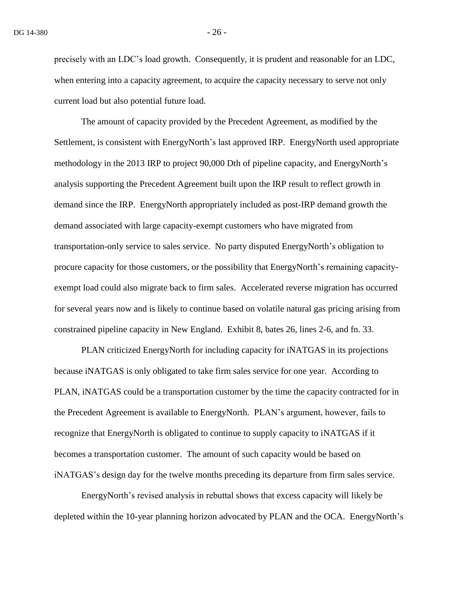precisely with an LDC's load growth. Consequently, it is prudent and reasonable for an LDC, when entering into a capacity agreement, to acquire the capacity necessary to serve not only current load but also potential future load.

The amount of capacity provided by the Precedent Agreement, as modified by the Settlement, is consistent with EnergyNorth's last approved IRP. EnergyNorth used appropriate methodology in the 2013 IRP to project 90,000 Dth of pipeline capacity, and EnergyNorth's analysis supporting the Precedent Agreement built upon the IRP result to reflect growth in demand since the IRP. EnergyNorth appropriately included as post-IRP demand growth the demand associated with large capacity-exempt customers who have migrated from transportation-only service to sales service. No party disputed EnergyNorth's obligation to procure capacity for those customers, or the possibility that EnergyNorth's remaining capacityexempt load could also migrate back to firm sales. Accelerated reverse migration has occurred for several years now and is likely to continue based on volatile natural gas pricing arising from constrained pipeline capacity in New England. Exhibit 8, bates 26, lines 2-6, and fn. 33.

PLAN criticized EnergyNorth for including capacity for iNATGAS in its projections because iNATGAS is only obligated to take firm sales service for one year. According to PLAN, iNATGAS could be a transportation customer by the time the capacity contracted for in the Precedent Agreement is available to EnergyNorth. PLAN's argument, however, fails to recognize that EnergyNorth is obligated to continue to supply capacity to iNATGAS if it becomes a transportation customer. The amount of such capacity would be based on iNATGAS's design day for the twelve months preceding its departure from firm sales service.

EnergyNorth's revised analysis in rebuttal shows that excess capacity will likely be depleted within the 10-year planning horizon advocated by PLAN and the OCA. EnergyNorth's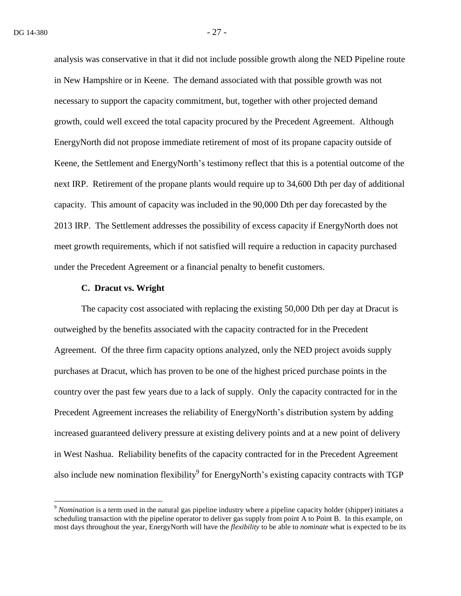analysis was conservative in that it did not include possible growth along the NED Pipeline route in New Hampshire or in Keene. The demand associated with that possible growth was not necessary to support the capacity commitment, but, together with other projected demand growth, could well exceed the total capacity procured by the Precedent Agreement. Although EnergyNorth did not propose immediate retirement of most of its propane capacity outside of Keene, the Settlement and EnergyNorth's testimony reflect that this is a potential outcome of the next IRP. Retirement of the propane plants would require up to 34,600 Dth per day of additional capacity. This amount of capacity was included in the 90,000 Dth per day forecasted by the 2013 IRP. The Settlement addresses the possibility of excess capacity if EnergyNorth does not meet growth requirements, which if not satisfied will require a reduction in capacity purchased under the Precedent Agreement or a financial penalty to benefit customers.

#### **C. Dracut vs. Wright**

 $\overline{a}$ 

The capacity cost associated with replacing the existing 50,000 Dth per day at Dracut is outweighed by the benefits associated with the capacity contracted for in the Precedent Agreement. Of the three firm capacity options analyzed, only the NED project avoids supply purchases at Dracut, which has proven to be one of the highest priced purchase points in the country over the past few years due to a lack of supply. Only the capacity contracted for in the Precedent Agreement increases the reliability of EnergyNorth's distribution system by adding increased guaranteed delivery pressure at existing delivery points and at a new point of delivery in West Nashua. Reliability benefits of the capacity contracted for in the Precedent Agreement also include new nomination flexibility<sup>9</sup> for EnergyNorth's existing capacity contracts with TGP

<sup>9</sup> *Nomination* is a term used in the natural gas pipeline industry where a pipeline capacity holder (shipper) initiates a scheduling transaction with the pipeline operator to deliver gas supply from point A to Point B. In this example, on most days throughout the year, EnergyNorth will have the *flexibility* to be able to *nominate* what is expected to be its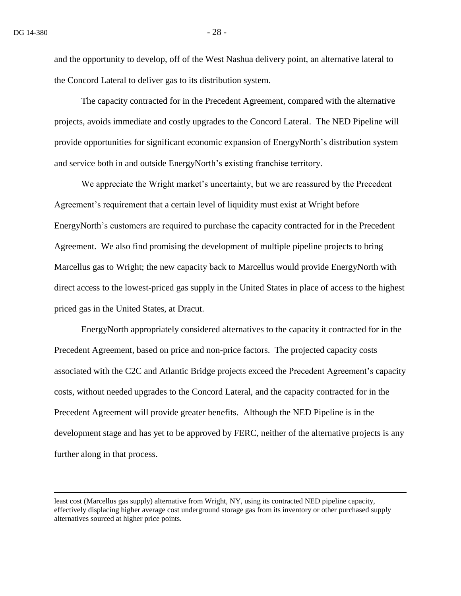$\overline{a}$ 

and the opportunity to develop, off of the West Nashua delivery point, an alternative lateral to the Concord Lateral to deliver gas to its distribution system.

The capacity contracted for in the Precedent Agreement, compared with the alternative projects, avoids immediate and costly upgrades to the Concord Lateral. The NED Pipeline will provide opportunities for significant economic expansion of EnergyNorth's distribution system and service both in and outside EnergyNorth's existing franchise territory.

We appreciate the Wright market's uncertainty, but we are reassured by the Precedent Agreement's requirement that a certain level of liquidity must exist at Wright before EnergyNorth's customers are required to purchase the capacity contracted for in the Precedent Agreement. We also find promising the development of multiple pipeline projects to bring Marcellus gas to Wright; the new capacity back to Marcellus would provide EnergyNorth with direct access to the lowest-priced gas supply in the United States in place of access to the highest priced gas in the United States, at Dracut.

EnergyNorth appropriately considered alternatives to the capacity it contracted for in the Precedent Agreement, based on price and non-price factors. The projected capacity costs associated with the C2C and Atlantic Bridge projects exceed the Precedent Agreement's capacity costs, without needed upgrades to the Concord Lateral, and the capacity contracted for in the Precedent Agreement will provide greater benefits. Although the NED Pipeline is in the development stage and has yet to be approved by FERC, neither of the alternative projects is any further along in that process.

least cost (Marcellus gas supply) alternative from Wright, NY, using its contracted NED pipeline capacity, effectively displacing higher average cost underground storage gas from its inventory or other purchased supply alternatives sourced at higher price points.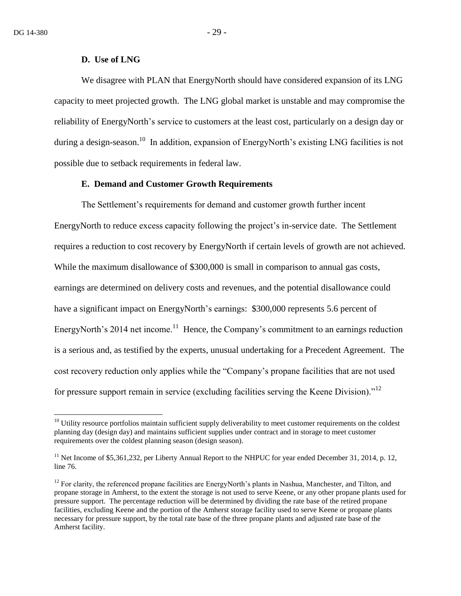$\overline{a}$ 

#### **D. Use of LNG**

We disagree with PLAN that EnergyNorth should have considered expansion of its LNG capacity to meet projected growth. The LNG global market is unstable and may compromise the reliability of EnergyNorth's service to customers at the least cost, particularly on a design day or during a design-season.<sup>10</sup> In addition, expansion of EnergyNorth's existing LNG facilities is not possible due to setback requirements in federal law.

### **E. Demand and Customer Growth Requirements**

The Settlement's requirements for demand and customer growth further incent EnergyNorth to reduce excess capacity following the project's in-service date. The Settlement requires a reduction to cost recovery by EnergyNorth if certain levels of growth are not achieved. While the maximum disallowance of \$300,000 is small in comparison to annual gas costs, earnings are determined on delivery costs and revenues, and the potential disallowance could have a significant impact on EnergyNorth's earnings: \$300,000 represents 5.6 percent of EnergyNorth's 2014 net income.<sup>11</sup> Hence, the Company's commitment to an earnings reduction is a serious and, as testified by the experts, unusual undertaking for a Precedent Agreement. The cost recovery reduction only applies while the "Company's propane facilities that are not used for pressure support remain in service (excluding facilities serving the Keene Division). $12$ 

 $10$  Utility resource portfolios maintain sufficient supply deliverability to meet customer requirements on the coldest planning day (design day) and maintains sufficient supplies under contract and in storage to meet customer requirements over the coldest planning season (design season).

<sup>&</sup>lt;sup>11</sup> Net Income of \$5,361,232, per Liberty Annual Report to the NHPUC for year ended December 31, 2014, p. 12, line 76.

<sup>&</sup>lt;sup>12</sup> For clarity, the referenced propane facilities are EnergyNorth's plants in Nashua, Manchester, and Tilton, and propane storage in Amherst, to the extent the storage is not used to serve Keene, or any other propane plants used for pressure support. The percentage reduction will be determined by dividing the rate base of the retired propane facilities, excluding Keene and the portion of the Amherst storage facility used to serve Keene or propane plants necessary for pressure support, by the total rate base of the three propane plants and adjusted rate base of the Amherst facility.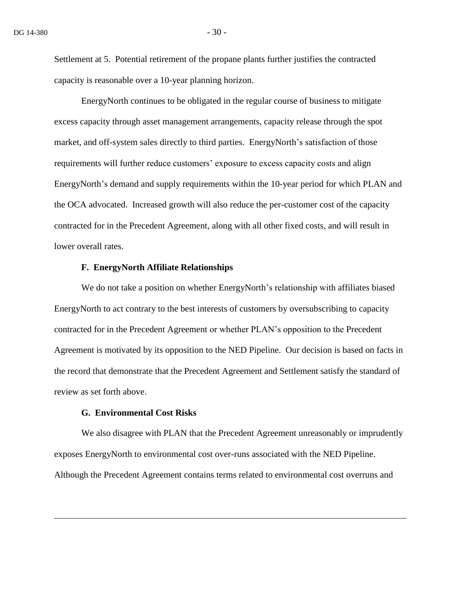Settlement at 5. Potential retirement of the propane plants further justifies the contracted capacity is reasonable over a 10-year planning horizon.

EnergyNorth continues to be obligated in the regular course of business to mitigate excess capacity through asset management arrangements, capacity release through the spot market, and off-system sales directly to third parties. EnergyNorth's satisfaction of those requirements will further reduce customers' exposure to excess capacity costs and align EnergyNorth's demand and supply requirements within the 10-year period for which PLAN and the OCA advocated. Increased growth will also reduce the per-customer cost of the capacity contracted for in the Precedent Agreement, along with all other fixed costs, and will result in lower overall rates.

#### **F. EnergyNorth Affiliate Relationships**

We do not take a position on whether EnergyNorth's relationship with affiliates biased EnergyNorth to act contrary to the best interests of customers by oversubscribing to capacity contracted for in the Precedent Agreement or whether PLAN's opposition to the Precedent Agreement is motivated by its opposition to the NED Pipeline. Our decision is based on facts in the record that demonstrate that the Precedent Agreement and Settlement satisfy the standard of review as set forth above.

### **G. Environmental Cost Risks**

 $\overline{a}$ 

We also disagree with PLAN that the Precedent Agreement unreasonably or imprudently exposes EnergyNorth to environmental cost over-runs associated with the NED Pipeline. Although the Precedent Agreement contains terms related to environmental cost overruns and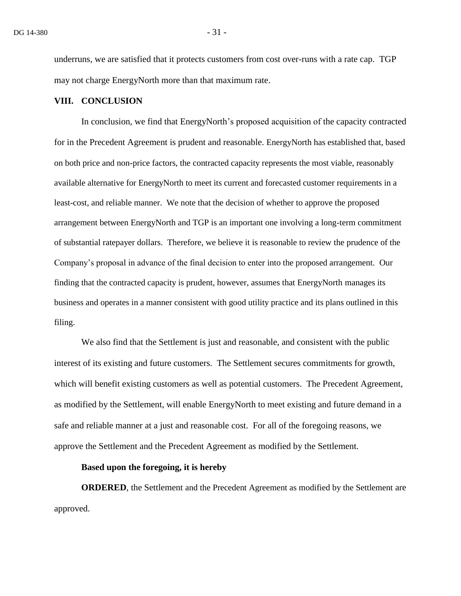underruns, we are satisfied that it protects customers from cost over-runs with a rate cap. TGP may not charge EnergyNorth more than that maximum rate.

### **VIII. CONCLUSION**

In conclusion, we find that EnergyNorth's proposed acquisition of the capacity contracted for in the Precedent Agreement is prudent and reasonable. EnergyNorth has established that, based on both price and non-price factors, the contracted capacity represents the most viable, reasonably available alternative for EnergyNorth to meet its current and forecasted customer requirements in a least-cost, and reliable manner. We note that the decision of whether to approve the proposed arrangement between EnergyNorth and TGP is an important one involving a long-term commitment of substantial ratepayer dollars. Therefore, we believe it is reasonable to review the prudence of the Company's proposal in advance of the final decision to enter into the proposed arrangement. Our finding that the contracted capacity is prudent, however, assumes that EnergyNorth manages its business and operates in a manner consistent with good utility practice and its plans outlined in this filing.

We also find that the Settlement is just and reasonable, and consistent with the public interest of its existing and future customers. The Settlement secures commitments for growth, which will benefit existing customers as well as potential customers. The Precedent Agreement, as modified by the Settlement, will enable EnergyNorth to meet existing and future demand in a safe and reliable manner at a just and reasonable cost. For all of the foregoing reasons, we approve the Settlement and the Precedent Agreement as modified by the Settlement.

### **Based upon the foregoing, it is hereby**

**ORDERED**, the Settlement and the Precedent Agreement as modified by the Settlement are approved.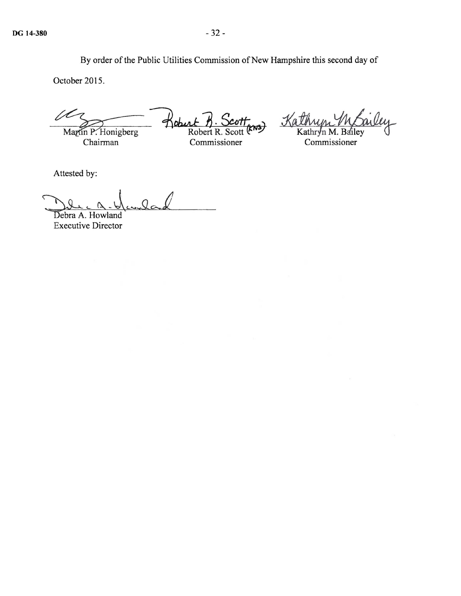By order of the Public Utilities Commission of New Hampshire this second day of

October 2015.

October 2015.<br>Martin P. Honigberg<br>Chairman Commission

Tieburt n. Scott<br>Robert R. Scott (ENS) Commissioner

Kathum Wailey

Attested by:

wilad

Debra A. Howland Executive Director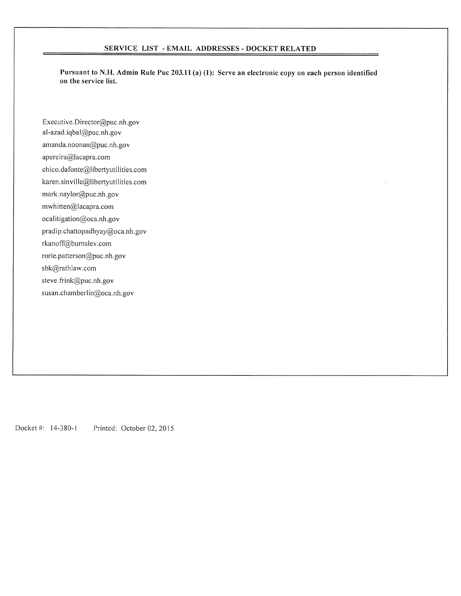#### SERVICE LIST - EMAIL ADDRESSES - DOCKET RELATED

Pursuant to N.H. Admin Rule Puc 203.11 (a) (1): Serve an electronic copy on each person identified on the service list.

Executive. Director@puc.nh.gov al-azad.iqbal@puc.nh.gov amanda.noonan@puc.nh.gov apereira@lacapra.com chico.dafonte@libertyutilities.com karen.sinville@libertyutilities.com mark.naylor@puc.nh.gov mwhitten@lacapra.com ocalitigation@oca.nh.gov pradip.chattopadhyay@oca.nh.gov rkanoff@burnslev.com rorie.patterson@puc.nh.gov sbk@rathlaw.com steve.frink@puc.nh.gov susan.chamberlin@oca.nh.gov

Docket #: 14-380-1 Printed: October 02, 2015